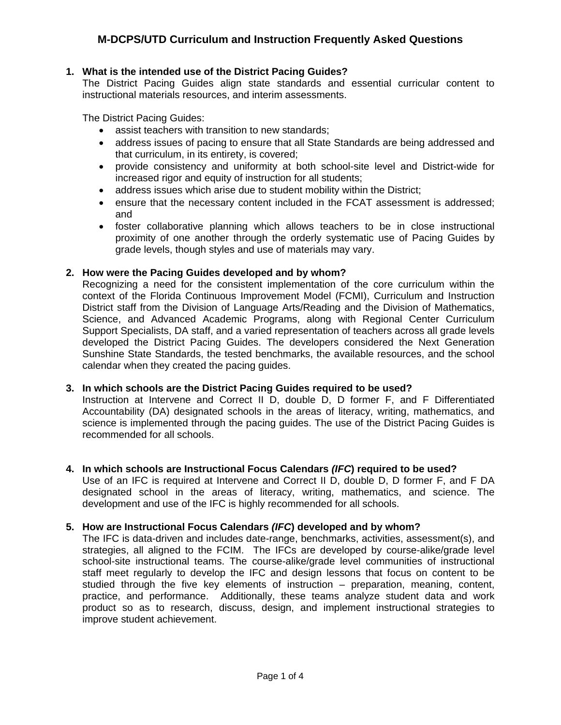## **M-DCPS/UTD Curriculum and Instruction Frequently Asked Questions**

#### **1. What is the intended use of the District Pacing Guides?**

The District Pacing Guides align state standards and essential curricular content to instructional materials resources, and interim assessments.

The District Pacing Guides:

- assist teachers with transition to new standards;
- address issues of pacing to ensure that all State Standards are being addressed and that curriculum, in its entirety, is covered;
- provide consistency and uniformity at both school-site level and District-wide for increased rigor and equity of instruction for all students;
- address issues which arise due to student mobility within the District;
- ensure that the necessary content included in the FCAT assessment is addressed: and
- foster collaborative planning which allows teachers to be in close instructional proximity of one another through the orderly systematic use of Pacing Guides by grade levels, though styles and use of materials may vary.

#### **2. How were the Pacing Guides developed and by whom?**

Recognizing a need for the consistent implementation of the core curriculum within the context of the Florida Continuous Improvement Model (FCMI), Curriculum and Instruction District staff from the Division of Language Arts/Reading and the Division of Mathematics, Science, and Advanced Academic Programs, along with Regional Center Curriculum Support Specialists, DA staff, and a varied representation of teachers across all grade levels developed the District Pacing Guides. The developers considered the Next Generation Sunshine State Standards, the tested benchmarks, the available resources, and the school calendar when they created the pacing guides.

#### **3. In which schools are the District Pacing Guides required to be used?**

Instruction at Intervene and Correct II D, double D, D former F, and F Differentiated Accountability (DA) designated schools in the areas of literacy, writing, mathematics, and science is implemented through the pacing guides. The use of the District Pacing Guides is recommended for all schools.

#### **4. In which schools are Instructional Focus Calendars** *(IFC***) required to be used?**

Use of an IFC is required at Intervene and Correct II D, double D, D former F, and F DA designated school in the areas of literacy, writing, mathematics, and science. The development and use of the IFC is highly recommended for all schools.

#### **5. How are Instructional Focus Calendars** *(IFC***) developed and by whom?**

The IFC is data-driven and includes date-range, benchmarks, activities, assessment(s), and strategies, all aligned to the FCIM. The IFCs are developed by course-alike/grade level school-site instructional teams. The course-alike/grade level communities of instructional staff meet regularly to develop the IFC and design lessons that focus on content to be studied through the five key elements of instruction – preparation, meaning, content, practice, and performance. Additionally, these teams analyze student data and work product so as to research, discuss, design, and implement instructional strategies to improve student achievement.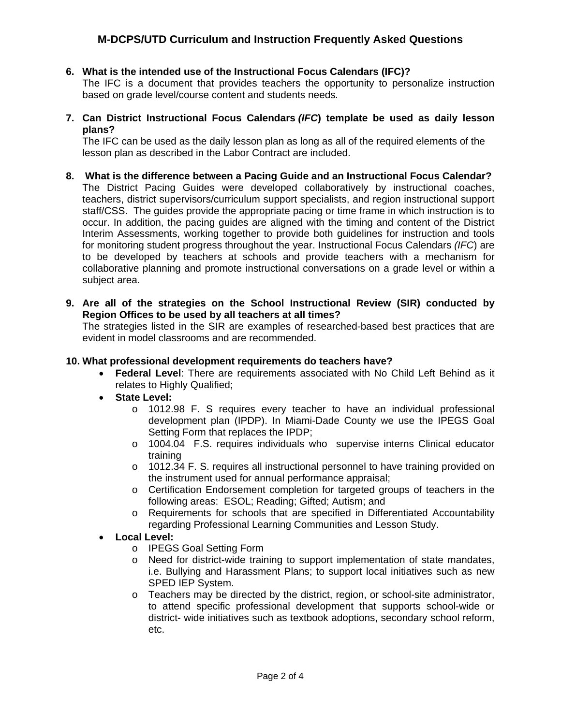## **M-DCPS/UTD Curriculum and Instruction Frequently Asked Questions**

#### **6. What is the intended use of the Instructional Focus Calendars (IFC)?**

The IFC is a document that provides teachers the opportunity to personalize instruction based on grade level/course content and students needs*.* 

**7. Can District Instructional Focus Calendars** *(IFC***) template be used as daily lesson plans?** 

The IFC can be used as the daily lesson plan as long as all of the required elements of the lesson plan as described in the Labor Contract are included.

- **8. What is the difference between a Pacing Guide and an Instructional Focus Calendar?** The District Pacing Guides were developed collaboratively by instructional coaches, teachers, district supervisors/curriculum support specialists, and region instructional support staff/CSS. The guides provide the appropriate pacing or time frame in which instruction is to occur. In addition, the pacing guides are aligned with the timing and content of the District Interim Assessments, working together to provide both guidelines for instruction and tools for monitoring student progress throughout the year. Instructional Focus Calendars *(IFC*) are to be developed by teachers at schools and provide teachers with a mechanism for collaborative planning and promote instructional conversations on a grade level or within a subject area.
- **9. Are all of the strategies on the School Instructional Review (SIR) conducted by Region Offices to be used by all teachers at all times?**

The strategies listed in the SIR are examples of researched-based best practices that are evident in model classrooms and are recommended.

#### **10. What professional development requirements do teachers have?**

- **Federal Level**: There are requirements associated with No Child Left Behind as it relates to Highly Qualified;
- **State Level:** 
	- o 1012.98 F. S requires every teacher to have an individual professional development plan (IPDP). In Miami-Dade County we use the IPEGS Goal Setting Form that replaces the IPDP;
	- o 1004.04 F.S. requires individuals who supervise interns Clinical educator training
	- o 1012.34 F. S. requires all instructional personnel to have training provided on the instrument used for annual performance appraisal;
	- o Certification Endorsement completion for targeted groups of teachers in the following areas: ESOL; Reading; Gifted; Autism; and
	- o Requirements for schools that are specified in Differentiated Accountability regarding Professional Learning Communities and Lesson Study.
- **Local Level:** 
	- o IPEGS Goal Setting Form
	- o Need for district-wide training to support implementation of state mandates, i.e. Bullying and Harassment Plans; to support local initiatives such as new SPED IEP System.
	- o Teachers may be directed by the district, region, or school-site administrator, to attend specific professional development that supports school-wide or district- wide initiatives such as textbook adoptions, secondary school reform, etc.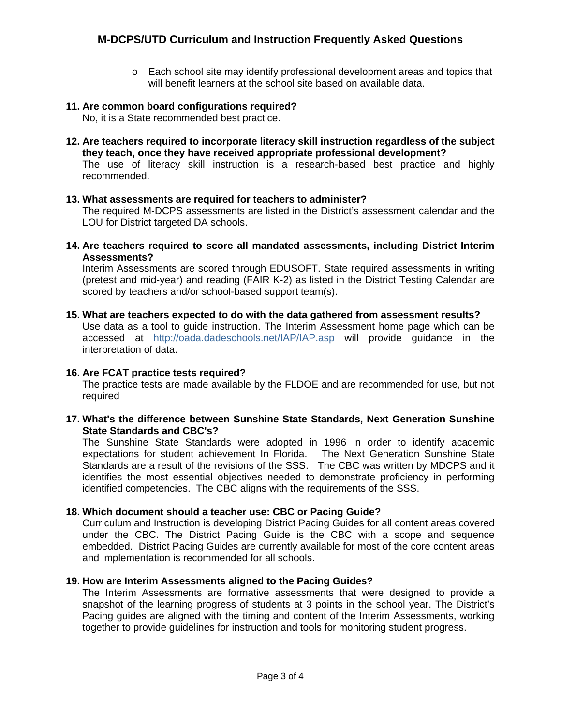o Each school site may identify professional development areas and topics that will benefit learners at the school site based on available data.

#### **11. Are common board configurations required?**

No, it is a State recommended best practice.

**12. Are teachers required to incorporate literacy skill instruction regardless of the subject they teach, once they have received appropriate professional development?** 

The use of literacy skill instruction is a research-based best practice and highly recommended.

#### **13. What assessments are required for teachers to administer?**

The required M-DCPS assessments are listed in the District's assessment calendar and the LOU for District targeted DA schools.

**14. Are teachers required to score all mandated assessments, including District Interim Assessments?** 

Interim Assessments are scored through EDUSOFT. State required assessments in writing (pretest and mid-year) and reading (FAIR K-2) as listed in the District Testing Calendar are scored by teachers and/or school-based support team(s).

#### **15. What are teachers expected to do with the data gathered from assessment results?**

Use data as a tool to guide instruction. The Interim Assessment home page which can be accessed at <http://oada.dadeschools.net/IAP/IAP.asp> will provide guidance in the interpretation of data.

#### **16. Are FCAT practice tests required?**

The practice tests are made available by the FLDOE and are recommended for use, but not required

**17. What's the difference between Sunshine State Standards, Next Generation Sunshine State Standards and CBC's?** 

The Sunshine State Standards were adopted in 1996 in order to identify academic expectations for student achievement In Florida. The Next Generation Sunshine State Standards are a result of the revisions of the SSS. The CBC was written by MDCPS and it identifies the most essential objectives needed to demonstrate proficiency in performing identified competencies. The CBC aligns with the requirements of the SSS.

#### **18. Which document should a teacher use: CBC or Pacing Guide?**

Curriculum and Instruction is developing District Pacing Guides for all content areas covered under the CBC. The District Pacing Guide is the CBC with a scope and sequence embedded. District Pacing Guides are currently available for most of the core content areas and implementation is recommended for all schools.

#### **19. How are Interim Assessments aligned to the Pacing Guides?**

The Interim Assessments are formative assessments that were designed to provide a snapshot of the learning progress of students at 3 points in the school year. The District's Pacing guides are aligned with the timing and content of the Interim Assessments, working together to provide guidelines for instruction and tools for monitoring student progress.